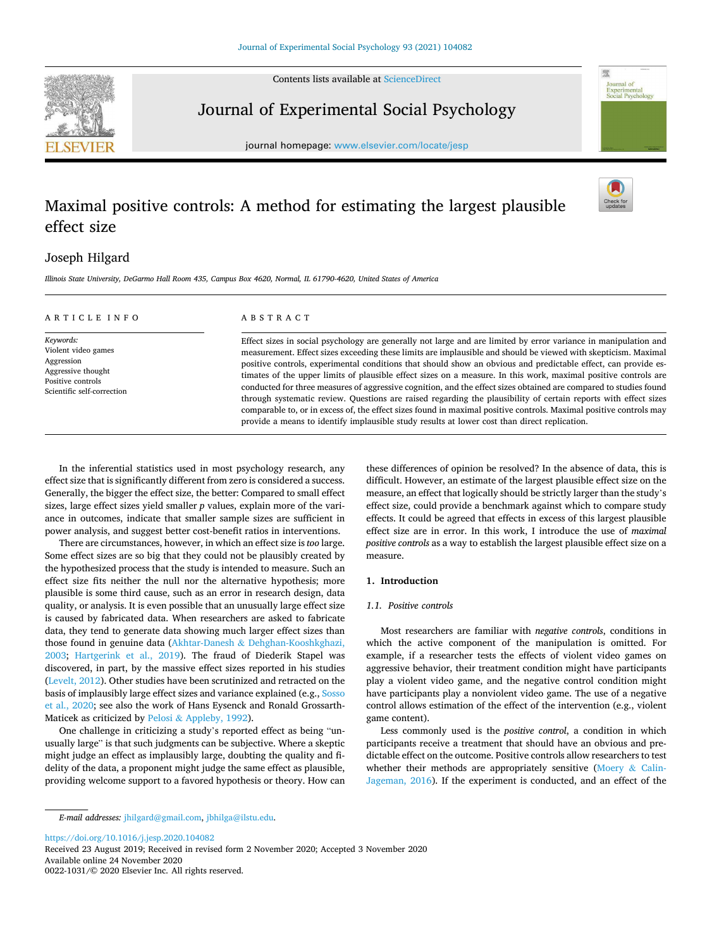Contents lists available at [ScienceDirect](www.sciencedirect.com/science/journal/00221031)



Journal of Experimental Social Psychology

journal homepage: [www.elsevier.com/locate/jesp](https://www.elsevier.com/locate/jesp)

# Maximal positive controls: A method for estimating the largest plausible effect size



**Journal** of Experimental<br>Social Psychology

# Joseph Hilgard

*Illinois State University, DeGarmo Hall Room 435, Campus Box 4620, Normal, IL 61790-4620, United States of America* 

| ARTICLE INFO                                                                                                            | ABSTRACT                                                                                                                                                                                                                                                                                                                                                                                                                                                                                                                                                                                                                                                                                                                                                                                                                                                                                                                             |  |  |
|-------------------------------------------------------------------------------------------------------------------------|--------------------------------------------------------------------------------------------------------------------------------------------------------------------------------------------------------------------------------------------------------------------------------------------------------------------------------------------------------------------------------------------------------------------------------------------------------------------------------------------------------------------------------------------------------------------------------------------------------------------------------------------------------------------------------------------------------------------------------------------------------------------------------------------------------------------------------------------------------------------------------------------------------------------------------------|--|--|
| Keywords:<br>Violent video games<br>Aggression<br>Aggressive thought<br>Positive controls<br>Scientific self-correction | Effect sizes in social psychology are generally not large and are limited by error variance in manipulation and<br>measurement. Effect sizes exceeding these limits are implausible and should be viewed with skepticism. Maximal<br>positive controls, experimental conditions that should show an obvious and predictable effect, can provide es-<br>timates of the upper limits of plausible effect sizes on a measure. In this work, maximal positive controls are<br>conducted for three measures of aggressive cognition, and the effect sizes obtained are compared to studies found<br>through systematic review. Questions are raised regarding the plausibility of certain reports with effect sizes<br>comparable to, or in excess of, the effect sizes found in maximal positive controls. Maximal positive controls may<br>provide a means to identify implausible study results at lower cost than direct replication. |  |  |

In the inferential statistics used in most psychology research, any effect size that is significantly different from zero is considered a success. Generally, the bigger the effect size, the better: Compared to small effect sizes, large effect sizes yield smaller *p* values, explain more of the variance in outcomes, indicate that smaller sample sizes are sufficient in power analysis, and suggest better cost-benefit ratios in interventions.

There are circumstances, however, in which an effect size is *too* large. Some effect sizes are so big that they could not be plausibly created by the hypothesized process that the study is intended to measure. Such an effect size fits neither the null nor the alternative hypothesis; more plausible is some third cause, such as an error in research design, data quality, or analysis. It is even possible that an unusually large effect size is caused by fabricated data. When researchers are asked to fabricate data, they tend to generate data showing much larger effect sizes than those found in genuine data (Akhtar-Danesh & [Dehghan-Kooshkghazi,](#page-8-0)  [2003;](#page-8-0) [Hartgerink et al., 2019\)](#page-9-0). The fraud of Diederik Stapel was discovered, in part, by the massive effect sizes reported in his studies ([Levelt, 2012](#page-8-0)). Other studies have been scrutinized and retracted on the basis of implausibly large effect sizes and variance explained (e.g., [Sosso](#page-9-0)  [et al., 2020](#page-9-0); see also the work of Hans Eysenck and Ronald Grossarth-Maticek as criticized by Pelosi & [Appleby, 1992](#page-8-0)).

One challenge in criticizing a study's reported effect as being "unusually large" is that such judgments can be subjective. Where a skeptic might judge an effect as implausibly large, doubting the quality and fidelity of the data, a proponent might judge the same effect as plausible, providing welcome support to a favored hypothesis or theory. How can these differences of opinion be resolved? In the absence of data, this is difficult. However, an estimate of the largest plausible effect size on the measure, an effect that logically should be strictly larger than the study's effect size, could provide a benchmark against which to compare study effects. It could be agreed that effects in excess of this largest plausible effect size are in error. In this work, I introduce the use of *maximal positive controls* as a way to establish the largest plausible effect size on a measure.

## **1. Introduction**

#### *1.1. Positive controls*

Most researchers are familiar with *negative controls*, conditions in which the active component of the manipulation is omitted. For example, if a researcher tests the effects of violent video games on aggressive behavior, their treatment condition might have participants play a violent video game, and the negative control condition might have participants play a nonviolent video game. The use of a negative control allows estimation of the effect of the intervention (e.g., violent game content).

Less commonly used is the *positive control*, a condition in which participants receive a treatment that should have an obvious and predictable effect on the outcome. Positive controls allow researchers to test whether their methods are appropriately sensitive ([Moery](#page-8-0) & Calin-[Jageman, 2016](#page-8-0)). If the experiment is conducted, and an effect of the

<https://doi.org/10.1016/j.jesp.2020.104082>

Available online 24 November 2020 0022-1031/© 2020 Elsevier Inc. All rights reserved. Received 23 August 2019; Received in revised form 2 November 2020; Accepted 3 November 2020

*E-mail addresses:* [jhilgard@gmail.com,](mailto:jhilgard@gmail.com) [jbhilga@ilstu.edu.](mailto:jbhilga@ilstu.edu)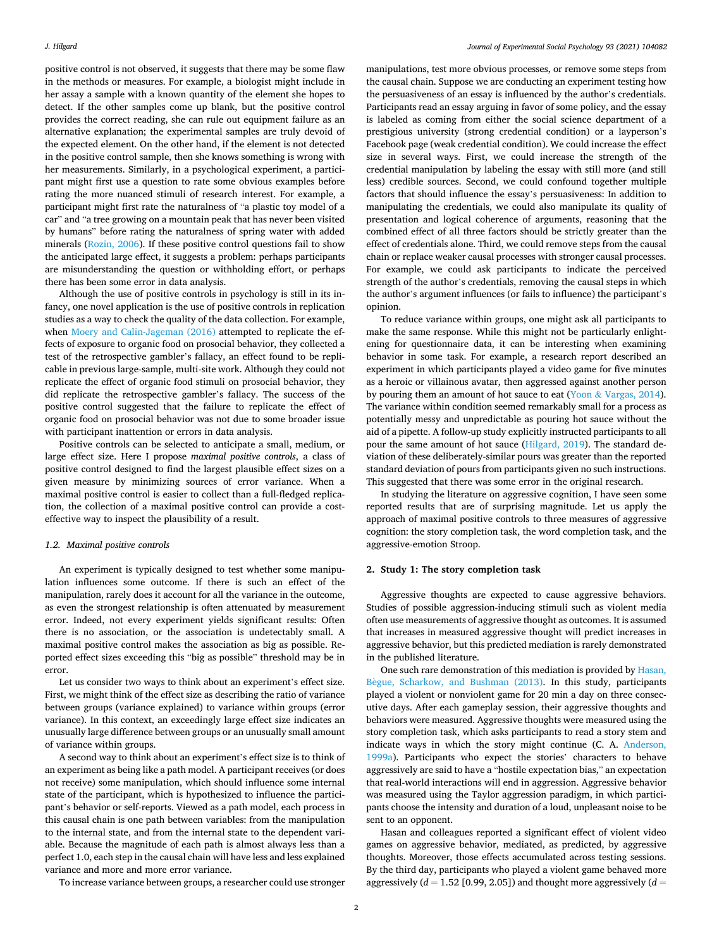positive control is not observed, it suggests that there may be some flaw in the methods or measures. For example, a biologist might include in her assay a sample with a known quantity of the element she hopes to detect. If the other samples come up blank, but the positive control provides the correct reading, she can rule out equipment failure as an alternative explanation; the experimental samples are truly devoid of the expected element. On the other hand, if the element is not detected in the positive control sample, then she knows something is wrong with her measurements. Similarly, in a psychological experiment, a participant might first use a question to rate some obvious examples before rating the more nuanced stimuli of research interest. For example, a participant might first rate the naturalness of "a plastic toy model of a car" and "a tree growing on a mountain peak that has never been visited by humans" before rating the naturalness of spring water with added minerals ([Rozin, 2006](#page-8-0)). If these positive control questions fail to show the anticipated large effect, it suggests a problem: perhaps participants are misunderstanding the question or withholding effort, or perhaps there has been some error in data analysis.

Although the use of positive controls in psychology is still in its infancy, one novel application is the use of positive controls in replication studies as a way to check the quality of the data collection. For example, when [Moery and Calin-Jageman \(2016\)](#page-8-0) attempted to replicate the effects of exposure to organic food on prosocial behavior, they collected a test of the retrospective gambler's fallacy, an effect found to be replicable in previous large-sample, multi-site work. Although they could not replicate the effect of organic food stimuli on prosocial behavior, they did replicate the retrospective gambler's fallacy. The success of the positive control suggested that the failure to replicate the effect of organic food on prosocial behavior was not due to some broader issue with participant inattention or errors in data analysis.

Positive controls can be selected to anticipate a small, medium, or large effect size. Here I propose *maximal positive controls*, a class of positive control designed to find the largest plausible effect sizes on a given measure by minimizing sources of error variance. When a maximal positive control is easier to collect than a full-fledged replication, the collection of a maximal positive control can provide a costeffective way to inspect the plausibility of a result.

### *1.2. Maximal positive controls*

An experiment is typically designed to test whether some manipulation influences some outcome. If there is such an effect of the manipulation, rarely does it account for all the variance in the outcome, as even the strongest relationship is often attenuated by measurement error. Indeed, not every experiment yields significant results: Often there is no association, or the association is undetectably small. A maximal positive control makes the association as big as possible. Reported effect sizes exceeding this "big as possible" threshold may be in error.

Let us consider two ways to think about an experiment's effect size. First, we might think of the effect size as describing the ratio of variance between groups (variance explained) to variance within groups (error variance). In this context, an exceedingly large effect size indicates an unusually large difference between groups or an unusually small amount of variance within groups.

A second way to think about an experiment's effect size is to think of an experiment as being like a path model. A participant receives (or does not receive) some manipulation, which should influence some internal state of the participant, which is hypothesized to influence the participant's behavior or self-reports. Viewed as a path model, each process in this causal chain is one path between variables: from the manipulation to the internal state, and from the internal state to the dependent variable. Because the magnitude of each path is almost always less than a perfect 1.0, each step in the causal chain will have less and less explained variance and more and more error variance.

To increase variance between groups, a researcher could use stronger

manipulations, test more obvious processes, or remove some steps from the causal chain. Suppose we are conducting an experiment testing how the persuasiveness of an essay is influenced by the author's credentials. Participants read an essay arguing in favor of some policy, and the essay is labeled as coming from either the social science department of a prestigious university (strong credential condition) or a layperson's Facebook page (weak credential condition). We could increase the effect size in several ways. First, we could increase the strength of the credential manipulation by labeling the essay with still more (and still less) credible sources. Second, we could confound together multiple factors that should influence the essay's persuasiveness: In addition to manipulating the credentials, we could also manipulate its quality of presentation and logical coherence of arguments, reasoning that the combined effect of all three factors should be strictly greater than the effect of credentials alone. Third, we could remove steps from the causal chain or replace weaker causal processes with stronger causal processes. For example, we could ask participants to indicate the perceived strength of the author's credentials, removing the causal steps in which the author's argument influences (or fails to influence) the participant's opinion.

To reduce variance within groups, one might ask all participants to make the same response. While this might not be particularly enlightening for questionnaire data, it can be interesting when examining behavior in some task. For example, a research report described an experiment in which participants played a video game for five minutes as a heroic or villainous avatar, then aggressed against another person by pouring them an amount of hot sauce to eat (Yoon & [Vargas, 2014](#page-9-0)). The variance within condition seemed remarkably small for a process as potentially messy and unpredictable as pouring hot sauce without the aid of a pipette. A follow-up study explicitly instructed participants to all pour the same amount of hot sauce ([Hilgard, 2019](#page-8-0)). The standard deviation of these deliberately-similar pours was greater than the reported standard deviation of pours from participants given no such instructions. This suggested that there was some error in the original research.

In studying the literature on aggressive cognition, I have seen some reported results that are of surprising magnitude. Let us apply the approach of maximal positive controls to three measures of aggressive cognition: the story completion task, the word completion task, and the aggressive-emotion Stroop.

#### **2. Study 1: The story completion task**

Aggressive thoughts are expected to cause aggressive behaviors. Studies of possible aggression-inducing stimuli such as violent media often use measurements of aggressive thought as outcomes. It is assumed that increases in measured aggressive thought will predict increases in aggressive behavior, but this predicted mediation is rarely demonstrated in the published literature.

One such rare demonstration of this mediation is provided by [Hasan,](#page-8-0)  Bègue, Scharkow, and Bushman (2013). In this study, participants played a violent or nonviolent game for 20 min a day on three consecutive days. After each gameplay session, their aggressive thoughts and behaviors were measured. Aggressive thoughts were measured using the story completion task, which asks participants to read a story stem and indicate ways in which the story might continue (C. A. [Anderson,](#page-8-0)  [1999a\)](#page-8-0). Participants who expect the stories' characters to behave aggressively are said to have a "hostile expectation bias," an expectation that real-world interactions will end in aggression. Aggressive behavior was measured using the Taylor aggression paradigm, in which participants choose the intensity and duration of a loud, unpleasant noise to be sent to an opponent.

Hasan and colleagues reported a significant effect of violent video games on aggressive behavior, mediated, as predicted, by aggressive thoughts. Moreover, those effects accumulated across testing sessions. By the third day, participants who played a violent game behaved more aggressively  $(d = 1.52$  [0.99, 2.05]) and thought more aggressively  $(d = 1.52$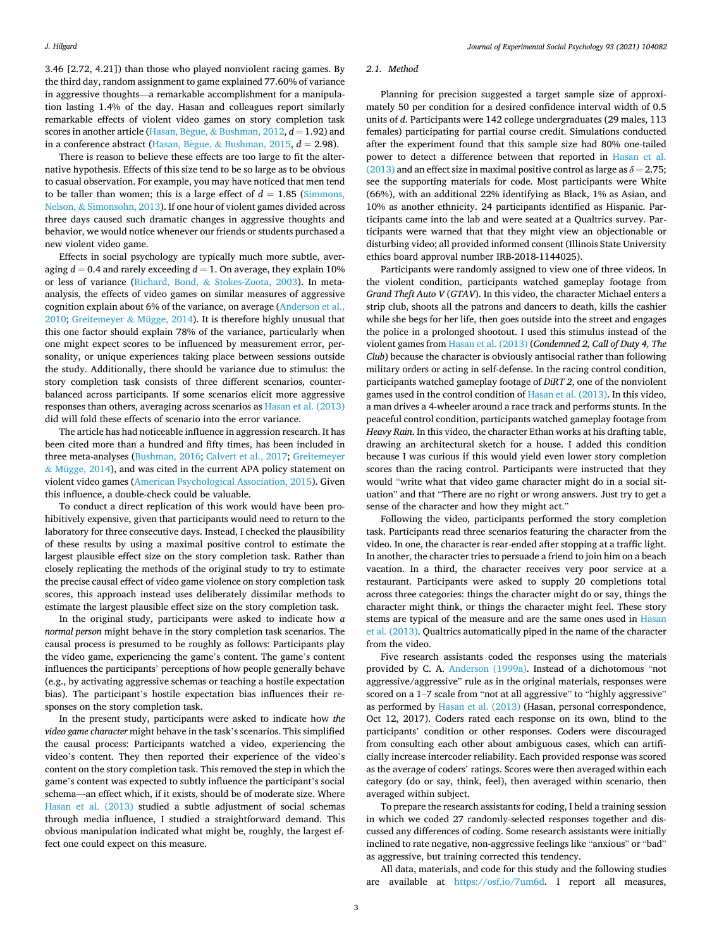3.46 [2.72, 4.21]) than those who played nonviolent racing games. By the third day, random assignment to game explained 77.60% of variance in aggressive thoughts—a remarkable accomplishment for a manipulation lasting 1.4% of the day. Hasan and colleagues report similarly remarkable effects of violent video games on story completion task scores in another article (Hasan, Bègue, & [Bushman, 2012,](#page-8-0)  $d = 1.92$ ) and in a conference abstract (Hasan, Bègue,  $\&$  [Bushman, 2015](#page-8-0),  $d = 2.98$ ).

There is reason to believe these effects are too large to fit the alternative hypothesis. Effects of this size tend to be so large as to be obvious to casual observation. For example, you may have noticed that men tend to be taller than women; this is a large effect of  $d = 1.85$  (Simmons, Nelson, & [Simonsohn, 2013](#page-9-0)). If one hour of violent games divided across three days caused such dramatic changes in aggressive thoughts and behavior, we would notice whenever our friends or students purchased a new violent video game.

Effects in social psychology are typically much more subtle, averaging  $d = 0.4$  and rarely exceeding  $d = 1$ . On average, they explain 10% or less of variance (Richard, Bond, & [Stokes-Zoota, 2003\)](#page-8-0). In metaanalysis, the effects of video games on similar measures of aggressive cognition explain about 6% of the variance, on average [\(Anderson et al.,](#page-8-0)  [2010; Greitemeyer](#page-8-0) & Mügge, 2014). It is therefore highly unusual that this one factor should explain 78% of the variance, particularly when one might expect scores to be influenced by measurement error, personality, or unique experiences taking place between sessions outside the study. Additionally, there should be variance due to stimulus: the story completion task consists of three different scenarios, counterbalanced across participants. If some scenarios elicit more aggressive responses than others, averaging across scenarios as [Hasan et al. \(2013\)](#page-8-0)  did will fold these effects of scenario into the error variance.

The article has had noticeable influence in aggression research. It has been cited more than a hundred and fifty times, has been included in three meta-analyses [\(Bushman, 2016](#page-8-0); [Calvert et al., 2017; Greitemeyer](#page-8-0)  & [Mügge, 2014](#page-8-0)), and was cited in the current APA policy statement on violent video games ([American Psychological Association, 2015\)](#page-8-0). Given this influence, a double-check could be valuable.

To conduct a direct replication of this work would have been prohibitively expensive, given that participants would need to return to the laboratory for three consecutive days. Instead, I checked the plausibility of these results by using a maximal positive control to estimate the largest plausible effect size on the story completion task. Rather than closely replicating the methods of the original study to try to estimate the precise causal effect of video game violence on story completion task scores, this approach instead uses deliberately dissimilar methods to estimate the largest plausible effect size on the story completion task.

In the original study, participants were asked to indicate how *a normal person* might behave in the story completion task scenarios. The causal process is presumed to be roughly as follows: Participants play the video game, experiencing the game's content. The game's content influences the participants' perceptions of how people generally behave (e.g., by activating aggressive schemas or teaching a hostile expectation bias). The participant's hostile expectation bias influences their responses on the story completion task.

In the present study, participants were asked to indicate how *the video game character* might behave in the task's scenarios. This simplified the causal process: Participants watched a video, experiencing the video's content. They then reported their experience of the video's content on the story completion task. This removed the step in which the game's content was expected to subtly influence the participant's social schema—an effect which, if it exists, should be of moderate size. Where [Hasan et al. \(2013\)](#page-8-0) studied a subtle adjustment of social schemas through media influence, I studied a straightforward demand. This obvious manipulation indicated what might be, roughly, the largest effect one could expect on this measure.

#### *2.1. Method*

Planning for precision suggested a target sample size of approximately 50 per condition for a desired confidence interval width of 0.5 units of *d*. Participants were 142 college undergraduates (29 males, 113 females) participating for partial course credit. Simulations conducted after the experiment found that this sample size had 80% one-tailed power to detect a difference between that reported in [Hasan et al.](#page-8-0)  [\(2013\)](#page-8-0) and an effect size in maximal positive control as large as  $\delta = 2.75$ ; see the supporting materials for code. Most participants were White (66%), with an additional 22% identifying as Black, 1% as Asian, and 10% as another ethnicity. 24 participants identified as Hispanic. Participants came into the lab and were seated at a Qualtrics survey. Participants were warned that that they might view an objectionable or disturbing video; all provided informed consent (Illinois State University ethics board approval number IRB-2018-1144025).

Participants were randomly assigned to view one of three videos. In the violent condition, participants watched gameplay footage from *Grand Theft Auto V* (*GTAV*). In this video, the character Michael enters a strip club, shoots all the patrons and dancers to death, kills the cashier while she begs for her life, then goes outside into the street and engages the police in a prolonged shootout. I used this stimulus instead of the violent games from [Hasan et al. \(2013\)](#page-8-0) (*Condemned 2, Call of Duty 4, The Club*) because the character is obviously antisocial rather than following military orders or acting in self-defense. In the racing control condition, participants watched gameplay footage of *DiRT 2*, one of the nonviolent games used in the control condition of [Hasan et al. \(2013\)](#page-8-0). In this video, a man drives a 4-wheeler around a race track and performs stunts. In the peaceful control condition, participants watched gameplay footage from *Heavy Rain*. In this video, the character Ethan works at his drafting table, drawing an architectural sketch for a house. I added this condition because I was curious if this would yield even lower story completion scores than the racing control. Participants were instructed that they would "write what that video game character might do in a social situation" and that "There are no right or wrong answers. Just try to get a sense of the character and how they might act."

Following the video, participants performed the story completion task. Participants read three scenarios featuring the character from the video. In one, the character is rear-ended after stopping at a traffic light. In another, the character tries to persuade a friend to join him on a beach vacation. In a third, the character receives very poor service at a restaurant. Participants were asked to supply 20 completions total across three categories: things the character might do or say, things the character might think, or things the character might feel. These story stems are typical of the measure and are the same ones used in [Hasan](#page-8-0)  [et al. \(2013\).](#page-8-0) Qualtrics automatically piped in the name of the character from the video.

Five research assistants coded the responses using the materials provided by C. A. [Anderson \(1999a\).](#page-8-0) Instead of a dichotomous "not aggressive/aggressive" rule as in the original materials, responses were scored on a 1–7 scale from "not at all aggressive" to "highly aggressive" as performed by [Hasan et al. \(2013\)](#page-8-0) (Hasan, personal correspondence, Oct 12, 2017). Coders rated each response on its own, blind to the participants' condition or other responses. Coders were discouraged from consulting each other about ambiguous cases, which can artificially increase intercoder reliability. Each provided response was scored as the average of coders' ratings. Scores were then averaged within each category (do or say, think, feel), then averaged within scenario, then averaged within subject.

To prepare the research assistants for coding, I held a training session in which we coded 27 randomly-selected responses together and discussed any differences of coding. Some research assistants were initially inclined to rate negative, non-aggressive feelings like "anxious" or "bad" as aggressive, but training corrected this tendency.

All data, materials, and code for this study and the following studies are available at [https://osf.io/7um6d.](https://osf.io/7um6d) I report all measures,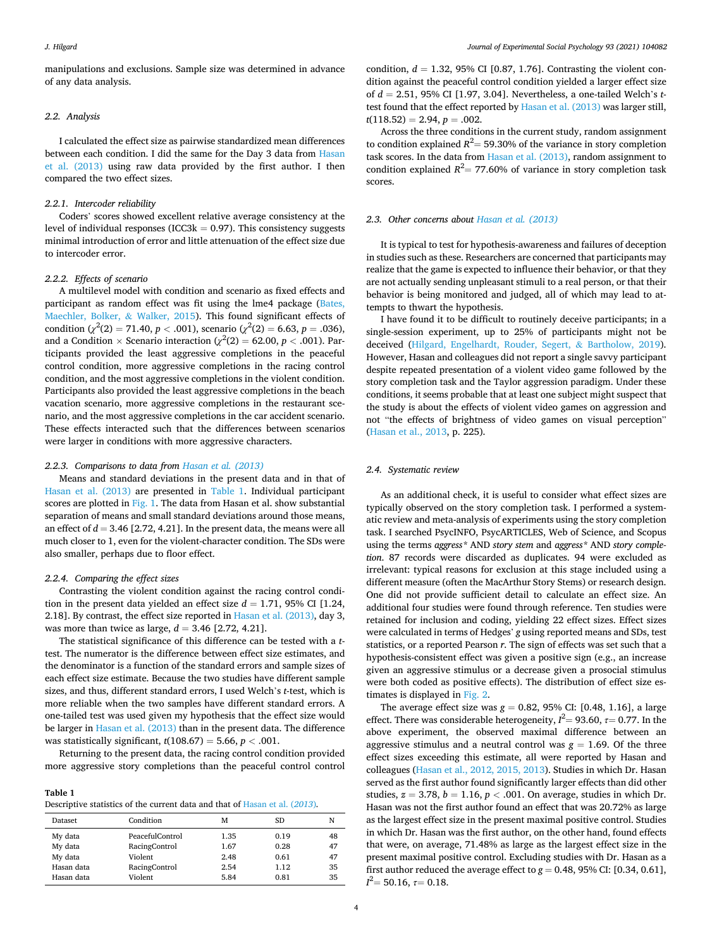manipulations and exclusions. Sample size was determined in advance of any data analysis.

#### *2.2. Analysis*

I calculated the effect size as pairwise standardized mean differences between each condition. I did the same for the Day 3 data from [Hasan](#page-8-0)  [et al. \(2013\)](#page-8-0) using raw data provided by the first author. I then compared the two effect sizes.

#### *2.2.1. Intercoder reliability*

Coders' scores showed excellent relative average consistency at the level of individual responses (ICC3 $k = 0.97$ ). This consistency suggests minimal introduction of error and little attenuation of the effect size due to intercoder error.

#### *2.2.2. Effects of scenario*

A multilevel model with condition and scenario as fixed effects and participant as random effect was fit using the lme4 package ([Bates,](#page-8-0)  [Maechler, Bolker,](#page-8-0) & Walker, 2015). This found significant effects of condition ( $\chi^2(2) = 71.40, p < .001$ ), scenario ( $\chi^2(2) = 6.63, p = .036$ ), and a Condition  $\times$  Scenario interaction ( $\chi^2(2)=62.00, p<.001$ ). Participants provided the least aggressive completions in the peaceful control condition, more aggressive completions in the racing control condition, and the most aggressive completions in the violent condition. Participants also provided the least aggressive completions in the beach vacation scenario, more aggressive completions in the restaurant scenario, and the most aggressive completions in the car accident scenario. These effects interacted such that the differences between scenarios were larger in conditions with more aggressive characters.

#### *2.2.3. Comparisons to data from [Hasan et al. \(2013\)](#page-8-0)*

Means and standard deviations in the present data and in that of [Hasan et al. \(2013\)](#page-8-0) are presented in Table 1. Individual participant scores are plotted in [Fig. 1](#page-4-0). The data from Hasan et al. show substantial separation of means and small standard deviations around those means, an effect of  $d = 3.46$  [2.72, 4.21]. In the present data, the means were all much closer to 1, even for the violent-character condition. The SDs were also smaller, perhaps due to floor effect.

# *2.2.4. Comparing the effect sizes*

Contrasting the violent condition against the racing control condition in the present data yielded an effect size  $d = 1.71$ , 95% CI [1.24, 2.18]. By contrast, the effect size reported in [Hasan et al. \(2013\),](#page-8-0) day 3, was more than twice as large,  $d = 3.46$  [2.72, 4.21].

The statistical significance of this difference can be tested with a *t*test. The numerator is the difference between effect size estimates, and the denominator is a function of the standard errors and sample sizes of each effect size estimate. Because the two studies have different sample sizes, and thus, different standard errors, I used Welch's *t*-test, which is more reliable when the two samples have different standard errors. A one-tailed test was used given my hypothesis that the effect size would be larger in [Hasan et al. \(2013\)](#page-8-0) than in the present data. The difference was statistically significant, *t*(108.67) = 5.66, *p <* .001.

Returning to the present data, the racing control condition provided more aggressive story completions than the peaceful control control

**Table 1**  Descriptive statistics of the current data and that of [Hasan et al. \(](#page-8-0)*2013*)*.* 

| Dataset    | Condition       | м    | SD   | N  |  |
|------------|-----------------|------|------|----|--|
| My data    | PeacefulControl | 1.35 | 0.19 | 48 |  |
| My data    | RacingControl   | 1.67 | 0.28 | 47 |  |
| My data    | Violent         | 2.48 | 0.61 | 47 |  |
| Hasan data | RacingControl   | 2.54 | 1.12 | 35 |  |
| Hasan data | Violent         | 5.84 | 0.81 | 35 |  |
|            |                 |      |      |    |  |

condition,  $d = 1.32$ , 95% CI [0.87, 1.76]. Contrasting the violent condition against the peaceful control condition yielded a larger effect size of *d* = 2.51, 95% CI [1.97, 3.04]. Nevertheless, a one-tailed Welch's *t*test found that the effect reported by [Hasan et al. \(2013\)](#page-8-0) was larger still,  $t(118.52) = 2.94, p = .002.$ 

Across the three conditions in the current study, random assignment to condition explained  $R^2$  = 59.30% of the variance in story completion task scores. In the data from [Hasan et al. \(2013\)](#page-8-0), random assignment to condition explained  $R^2$  = 77.60% of variance in story completion task scores.

#### *2.3. Other concerns about [Hasan et al. \(2013\)](#page-8-0)*

It is typical to test for hypothesis-awareness and failures of deception in studies such as these. Researchers are concerned that participants may realize that the game is expected to influence their behavior, or that they are not actually sending unpleasant stimuli to a real person, or that their behavior is being monitored and judged, all of which may lead to attempts to thwart the hypothesis.

I have found it to be difficult to routinely deceive participants; in a single-session experiment, up to 25% of participants might not be deceived ([Hilgard, Engelhardt, Rouder, Segert,](#page-8-0) & Bartholow, 2019). However, Hasan and colleagues did not report a single savvy participant despite repeated presentation of a violent video game followed by the story completion task and the Taylor aggression paradigm. Under these conditions, it seems probable that at least one subject might suspect that the study is about the effects of violent video games on aggression and not "the effects of brightness of video games on visual perception" ([Hasan et al., 2013,](#page-8-0) p. 225).

# *2.4. Systematic review*

As an additional check, it is useful to consider what effect sizes are typically observed on the story completion task. I performed a systematic review and meta-analysis of experiments using the story completion task. I searched PsycINFO, PsycARTICLES, Web of Science, and Scopus using the terms *aggress\** AND *story stem* and *aggress\** AND *story completion*. 87 records were discarded as duplicates. 94 were excluded as irrelevant: typical reasons for exclusion at this stage included using a different measure (often the MacArthur Story Stems) or research design. One did not provide sufficient detail to calculate an effect size. An additional four studies were found through reference. Ten studies were retained for inclusion and coding, yielding 22 effect sizes. Effect sizes were calculated in terms of Hedges' *g* using reported means and SDs, test statistics, or a reported Pearson *r*. The sign of effects was set such that a hypothesis-consistent effect was given a positive sign (e.g., an increase given an aggressive stimulus or a decrease given a prosocial stimulus were both coded as positive effects). The distribution of effect size estimates is displayed in [Fig. 2](#page-4-0).

The average effect size was *g* = 0.82, 95% CI: [0.48, 1.16], a large effect. There was considerable heterogeneity,  $l^2 = 93.60$ ,  $\tau = 0.77$ . In the above experiment, the observed maximal difference between an aggressive stimulus and a neutral control was  $g = 1.69$ . Of the three effect sizes exceeding this estimate, all were reported by Hasan and colleagues [\(Hasan et al., 2012, 2015, 2013\)](#page-8-0). Studies in which Dr. Hasan served as the first author found significantly larger effects than did other studies,  $z = 3.78$ ,  $b = 1.16$ ,  $p < .001$ . On average, studies in which Dr. Hasan was not the first author found an effect that was 20.72% as large as the largest effect size in the present maximal positive control. Studies in which Dr. Hasan was the first author, on the other hand, found effects that were, on average, 71.48% as large as the largest effect size in the present maximal positive control. Excluding studies with Dr. Hasan as a first author reduced the average effect to  $g = 0.48$ , 95% CI: [0.34, 0.61], *I* <sup>2</sup>= 50.16, *τ*= 0.18.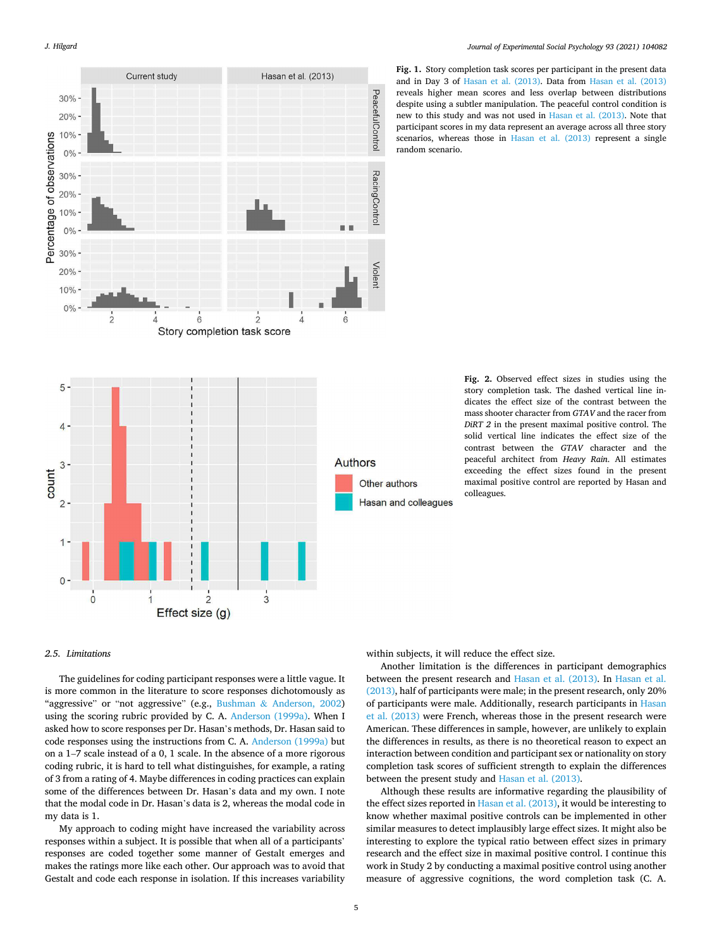<span id="page-4-0"></span>

**Fig. 1.** Story completion task scores per participant in the present data and in Day 3 of [Hasan et al. \(2013\)](#page-8-0). Data from [Hasan et al. \(2013\)](#page-8-0)  reveals higher mean scores and less overlap between distributions despite using a subtler manipulation. The peaceful control condition is new to this study and was not used in [Hasan et al. \(2013\).](#page-8-0) Note that participant scores in my data represent an average across all three story scenarios, whereas those in [Hasan et al. \(2013\)](#page-8-0) represent a single random scenario.

**Fig. 2.** Observed effect sizes in studies using the story completion task. The dashed vertical line indicates the effect size of the contrast between the mass shooter character from *GTAV* and the racer from *DiRT 2* in the present maximal positive control. The solid vertical line indicates the effect size of the contrast between the *GTAV* character and the peaceful architect from *Heavy Rain*. All estimates exceeding the effect sizes found in the present maximal positive control are reported by Hasan and colleagues.

# *2.5. Limitations*

The guidelines for coding participant responses were a little vague. It is more common in the literature to score responses dichotomously as "aggressive" or "not aggressive" (e.g., Bushman & [Anderson, 2002\)](#page-8-0) using the scoring rubric provided by C. A. [Anderson \(1999a\)](#page-8-0). When I asked how to score responses per Dr. Hasan's methods, Dr. Hasan said to code responses using the instructions from C. A. [Anderson \(1999a\)](#page-8-0) but on a 1–7 scale instead of a 0, 1 scale. In the absence of a more rigorous coding rubric, it is hard to tell what distinguishes, for example, a rating of 3 from a rating of 4. Maybe differences in coding practices can explain some of the differences between Dr. Hasan's data and my own. I note that the modal code in Dr. Hasan's data is 2, whereas the modal code in my data is 1.

My approach to coding might have increased the variability across responses within a subject. It is possible that when all of a participants' responses are coded together some manner of Gestalt emerges and makes the ratings more like each other. Our approach was to avoid that Gestalt and code each response in isolation. If this increases variability

within subjects, it will reduce the effect size.

Another limitation is the differences in participant demographics between the present research and [Hasan et al. \(2013\).](#page-8-0) In [Hasan et al.](#page-8-0)  [\(2013\),](#page-8-0) half of participants were male; in the present research, only 20% of participants were male. Additionally, research participants in [Hasan](#page-8-0)  [et al. \(2013\)](#page-8-0) were French, whereas those in the present research were American. These differences in sample, however, are unlikely to explain the differences in results, as there is no theoretical reason to expect an interaction between condition and participant sex or nationality on story completion task scores of sufficient strength to explain the differences between the present study and [Hasan et al. \(2013\)](#page-8-0).

Although these results are informative regarding the plausibility of the effect sizes reported in [Hasan et al. \(2013\)](#page-8-0), it would be interesting to know whether maximal positive controls can be implemented in other similar measures to detect implausibly large effect sizes. It might also be interesting to explore the typical ratio between effect sizes in primary research and the effect size in maximal positive control. I continue this work in Study 2 by conducting a maximal positive control using another measure of aggressive cognitions, the word completion task (C. A.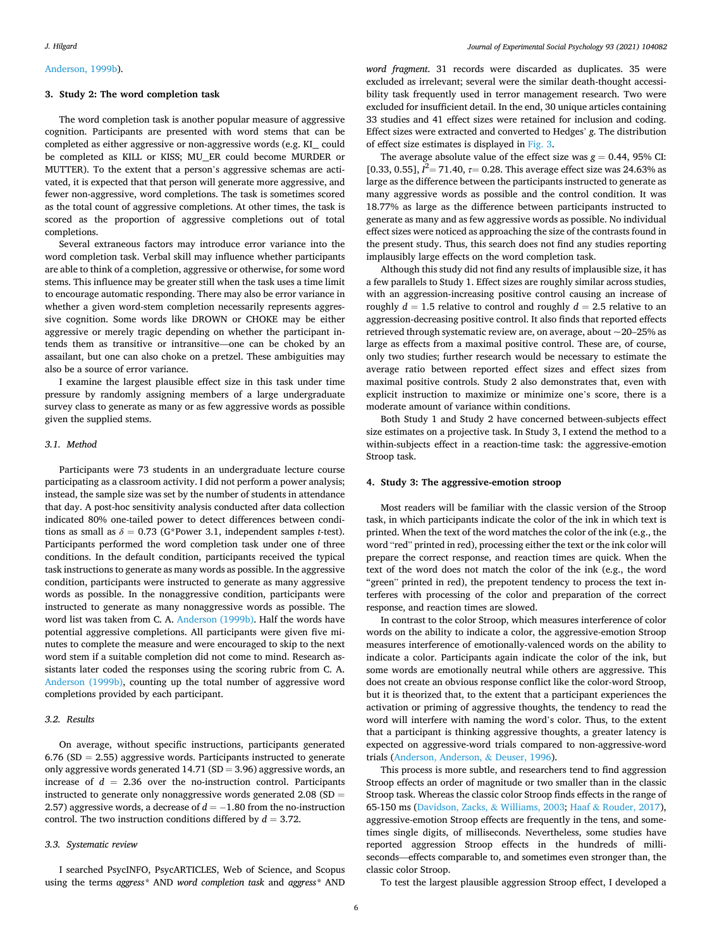#### [Anderson, 1999b](#page-8-0)).

#### **3. Study 2: The word completion task**

The word completion task is another popular measure of aggressive cognition. Participants are presented with word stems that can be completed as either aggressive or non-aggressive words (e.g. KI\_\_ could be completed as KILL or KISS; MU\_\_ER could become MURDER or MUTTER). To the extent that a person's aggressive schemas are activated, it is expected that that person will generate more aggressive, and fewer non-aggressive, word completions. The task is sometimes scored as the total count of aggressive completions. At other times, the task is scored as the proportion of aggressive completions out of total completions.

Several extraneous factors may introduce error variance into the word completion task. Verbal skill may influence whether participants are able to think of a completion, aggressive or otherwise, for some word stems. This influence may be greater still when the task uses a time limit to encourage automatic responding. There may also be error variance in whether a given word-stem completion necessarily represents aggressive cognition. Some words like DROWN or CHOKE may be either aggressive or merely tragic depending on whether the participant intends them as transitive or intransitive—one can be choked by an assailant, but one can also choke on a pretzel. These ambiguities may also be a source of error variance.

I examine the largest plausible effect size in this task under time pressure by randomly assigning members of a large undergraduate survey class to generate as many or as few aggressive words as possible given the supplied stems.

#### *3.1. Method*

Participants were 73 students in an undergraduate lecture course participating as a classroom activity. I did not perform a power analysis; instead, the sample size was set by the number of students in attendance that day. A post-hoc sensitivity analysis conducted after data collection indicated 80% one-tailed power to detect differences between conditions as small as  $\delta = 0.73$  (G\*Power 3.1, independent samples *t*-test). Participants performed the word completion task under one of three conditions. In the default condition, participants received the typical task instructions to generate as many words as possible. In the aggressive condition, participants were instructed to generate as many aggressive words as possible. In the nonaggressive condition, participants were instructed to generate as many nonaggressive words as possible. The word list was taken from C. A. [Anderson \(1999b\)](#page-8-0). Half the words have potential aggressive completions. All participants were given five minutes to complete the measure and were encouraged to skip to the next word stem if a suitable completion did not come to mind. Research assistants later coded the responses using the scoring rubric from C. A. [Anderson \(1999b\),](#page-8-0) counting up the total number of aggressive word completions provided by each participant.

# *3.2. Results*

On average, without specific instructions, participants generated  $6.76$  (SD = 2.55) aggressive words. Participants instructed to generate only aggressive words generated  $14.71$  (SD = 3.96) aggressive words, an increase of  $d = 2.36$  over the no-instruction control. Participants instructed to generate only nonaggressive words generated  $2.08$  (SD = 2.57) aggressive words, a decrease of  $d = -1.80$  from the no-instruction control. The two instruction conditions differed by *d* = 3.72.

## *3.3. Systematic review*

I searched PsycINFO, PsycARTICLES, Web of Science, and Scopus using the terms *aggress\** AND *word completion task* and *aggress\** AND *word fragment*. 31 records were discarded as duplicates. 35 were excluded as irrelevant; several were the similar death-thought accessibility task frequently used in terror management research. Two were excluded for insufficient detail. In the end, 30 unique articles containing 33 studies and 41 effect sizes were retained for inclusion and coding. Effect sizes were extracted and converted to Hedges' *g*. The distribution of effect size estimates is displayed in [Fig. 3.](#page-6-0)

The average absolute value of the effect size was  $g = 0.44$ , 95% CI: [0.33, 0.55],  $I^2$  = 71.40,  $\tau$  = 0.28. This average effect size was 24.63% as large as the difference between the participants instructed to generate as many aggressive words as possible and the control condition. It was 18.77% as large as the difference between participants instructed to generate as many and as few aggressive words as possible. No individual effect sizes were noticed as approaching the size of the contrasts found in the present study. Thus, this search does not find any studies reporting implausibly large effects on the word completion task.

Although this study did not find any results of implausible size, it has a few parallels to Study 1. Effect sizes are roughly similar across studies, with an aggression-increasing positive control causing an increase of roughly  $d = 1.5$  relative to control and roughly  $d = 2.5$  relative to an aggression-decreasing positive control. It also finds that reported effects retrieved through systematic review are, on average, about  $\sim$  20–25% as large as effects from a maximal positive control. These are, of course, only two studies; further research would be necessary to estimate the average ratio between reported effect sizes and effect sizes from maximal positive controls. Study 2 also demonstrates that, even with explicit instruction to maximize or minimize one's score, there is a moderate amount of variance within conditions.

Both Study 1 and Study 2 have concerned between-subjects effect size estimates on a projective task. In Study 3, I extend the method to a within-subjects effect in a reaction-time task: the aggressive-emotion Stroop task.

#### **4. Study 3: The aggressive-emotion stroop**

Most readers will be familiar with the classic version of the Stroop task, in which participants indicate the color of the ink in which text is printed. When the text of the word matches the color of the ink (e.g., the word "red" printed in red), processing either the text or the ink color will prepare the correct response, and reaction times are quick. When the text of the word does not match the color of the ink (e.g., the word "green" printed in red), the prepotent tendency to process the text interferes with processing of the color and preparation of the correct response, and reaction times are slowed.

In contrast to the color Stroop, which measures interference of color words on the ability to indicate a color, the aggressive-emotion Stroop measures interference of emotionally-valenced words on the ability to indicate a color. Participants again indicate the color of the ink, but some words are emotionally neutral while others are aggressive. This does not create an obvious response conflict like the color-word Stroop, but it is theorized that, to the extent that a participant experiences the activation or priming of aggressive thoughts, the tendency to read the word will interfere with naming the word's color. Thus, to the extent that a participant is thinking aggressive thoughts, a greater latency is expected on aggressive-word trials compared to non-aggressive-word trials ([Anderson, Anderson,](#page-8-0) & Deuser, 1996).

This process is more subtle, and researchers tend to find aggression Stroop effects an order of magnitude or two smaller than in the classic Stroop task. Whereas the classic color Stroop finds effects in the range of 65-150 ms [\(Davidson, Zacks,](#page-8-0) & Williams, 2003; Haaf & [Rouder, 2017](#page-8-0)), aggressive-emotion Stroop effects are frequently in the tens, and sometimes single digits, of milliseconds. Nevertheless, some studies have reported aggression Stroop effects in the hundreds of milliseconds—effects comparable to, and sometimes even stronger than, the classic color Stroop.

To test the largest plausible aggression Stroop effect, I developed a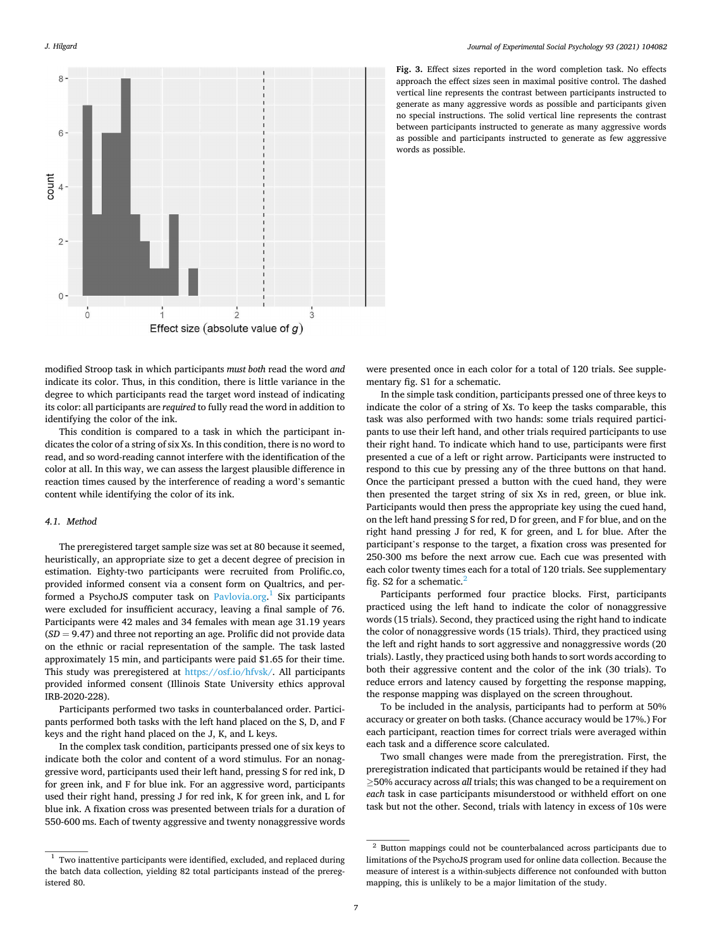<span id="page-6-0"></span>*J. Hilgard* 



**Fig. 3.** Effect sizes reported in the word completion task. No effects approach the effect sizes seen in maximal positive control. The dashed vertical line represents the contrast between participants instructed to generate as many aggressive words as possible and participants given no special instructions. The solid vertical line represents the contrast between participants instructed to generate as many aggressive words as possible and participants instructed to generate as few aggressive words as possible.

modified Stroop task in which participants *must both* read the word *and*  indicate its color. Thus, in this condition, there is little variance in the degree to which participants read the target word instead of indicating its color: all participants are *required* to fully read the word in addition to identifying the color of the ink.

This condition is compared to a task in which the participant indicates the color of a string of six Xs. In this condition, there is no word to read, and so word-reading cannot interfere with the identification of the color at all. In this way, we can assess the largest plausible difference in reaction times caused by the interference of reading a word's semantic content while identifying the color of its ink.

# *4.1. Method*

The preregistered target sample size was set at 80 because it seemed, heuristically, an appropriate size to get a decent degree of precision in estimation. Eighty-two participants were recruited from Prolific.co, provided informed consent via a consent form on Qualtrics, and per-formed a PsychoJS computer task on [Pavlovia.org](http://Pavlovia.org).<sup>1</sup> Six participants were excluded for insufficient accuracy, leaving a final sample of 76. Participants were 42 males and 34 females with mean age 31.19 years (*SD* = 9.47) and three not reporting an age. Prolific did not provide data on the ethnic or racial representation of the sample. The task lasted approximately 15 min, and participants were paid \$1.65 for their time. This study was preregistered at <https://osf.io/hfvsk/>. All participants provided informed consent (Illinois State University ethics approval IRB-2020-228).

Participants performed two tasks in counterbalanced order. Participants performed both tasks with the left hand placed on the S, D, and F keys and the right hand placed on the J, K, and L keys.

In the complex task condition, participants pressed one of six keys to indicate both the color and content of a word stimulus. For an nonaggressive word, participants used their left hand, pressing S for red ink, D for green ink, and F for blue ink. For an aggressive word, participants used their right hand, pressing J for red ink, K for green ink, and L for blue ink. A fixation cross was presented between trials for a duration of 550-600 ms. Each of twenty aggressive and twenty nonaggressive words

were presented once in each color for a total of 120 trials. See supplementary fig. S1 for a schematic.

In the simple task condition, participants pressed one of three keys to indicate the color of a string of Xs. To keep the tasks comparable, this task was also performed with two hands: some trials required participants to use their left hand, and other trials required participants to use their right hand. To indicate which hand to use, participants were first presented a cue of a left or right arrow. Participants were instructed to respond to this cue by pressing any of the three buttons on that hand. Once the participant pressed a button with the cued hand, they were then presented the target string of six Xs in red, green, or blue ink. Participants would then press the appropriate key using the cued hand, on the left hand pressing S for red, D for green, and F for blue, and on the right hand pressing J for red, K for green, and L for blue. After the participant's response to the target, a fixation cross was presented for 250-300 ms before the next arrow cue. Each cue was presented with each color twenty times each for a total of 120 trials. See supplementary fig. S2 for a schematic. $<sup>2</sup>$ </sup>

Participants performed four practice blocks. First, participants practiced using the left hand to indicate the color of nonaggressive words (15 trials). Second, they practiced using the right hand to indicate the color of nonaggressive words (15 trials). Third, they practiced using the left and right hands to sort aggressive and nonaggressive words (20 trials). Lastly, they practiced using both hands to sort words according to both their aggressive content and the color of the ink (30 trials). To reduce errors and latency caused by forgetting the response mapping, the response mapping was displayed on the screen throughout.

To be included in the analysis, participants had to perform at 50% accuracy or greater on both tasks. (Chance accuracy would be 17%.) For each participant, reaction times for correct trials were averaged within each task and a difference score calculated.

Two small changes were made from the preregistration. First, the preregistration indicated that participants would be retained if they had ≥50% accuracy across *all* trials; this was changed to be a requirement on *each* task in case participants misunderstood or withheld effort on one task but not the other. Second, trials with latency in excess of 10s were

 $^{\rm 1}$  Two inattentive participants were identified, excluded, and replaced during the batch data collection, yielding 82 total participants instead of the preregistered 80.

 $2$  Button mappings could not be counterbalanced across participants due to limitations of the PsychoJS program used for online data collection. Because the measure of interest is a within-subjects difference not confounded with button mapping, this is unlikely to be a major limitation of the study.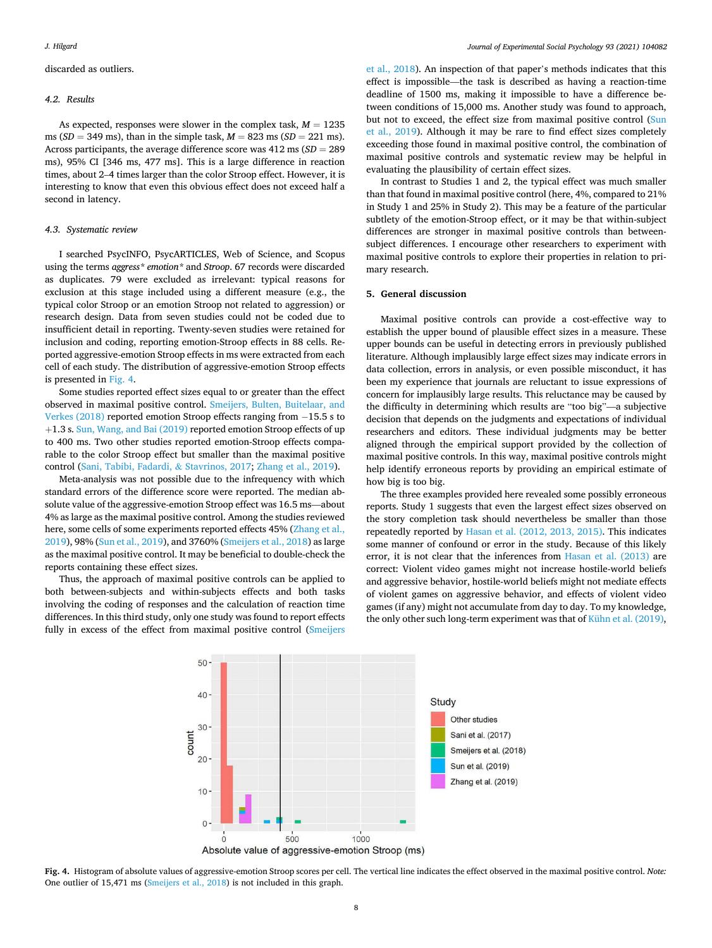# discarded as outliers.

#### *4.2. Results*

As expected, responses were slower in the complex task,  $M = 1235$ ms (*SD* = 349 ms), than in the simple task, *M* = 823 ms (*SD* = 221 ms). Across participants, the average difference score was 412 ms (*SD* = 289 ms), 95% CI [346 ms, 477 ms]. This is a large difference in reaction times, about 2–4 times larger than the color Stroop effect. However, it is interesting to know that even this obvious effect does not exceed half a second in latency.

#### *4.3. Systematic review*

I searched PsycINFO, PsycARTICLES, Web of Science, and Scopus using the terms *aggress\* emotion\** and *Stroop*. 67 records were discarded as duplicates. 79 were excluded as irrelevant: typical reasons for exclusion at this stage included using a different measure (e.g., the typical color Stroop or an emotion Stroop not related to aggression) or research design. Data from seven studies could not be coded due to insufficient detail in reporting. Twenty-seven studies were retained for inclusion and coding, reporting emotion-Stroop effects in 88 cells. Reported aggressive-emotion Stroop effects in ms were extracted from each cell of each study. The distribution of aggressive-emotion Stroop effects is presented in Fig. 4.

Some studies reported effect sizes equal to or greater than the effect observed in maximal positive control. [Smeijers, Bulten, Buitelaar, and](#page-9-0)  [Verkes \(2018\)](#page-9-0) reported emotion Stroop effects ranging from −15.5 s to +1.3 s. [Sun, Wang, and Bai \(2019\)](#page-9-0) reported emotion Stroop effects of up to 400 ms. Two other studies reported emotion-Stroop effects comparable to the color Stroop effect but smaller than the maximal positive control [\(Sani, Tabibi, Fadardi,](#page-8-0) & Stavrinos, 2017; [Zhang et al., 2019\)](#page-9-0).

Meta-analysis was not possible due to the infrequency with which standard errors of the difference score were reported. The median absolute value of the aggressive-emotion Stroop effect was 16.5 ms—about 4% as large as the maximal positive control. Among the studies reviewed here, some cells of some experiments reported effects 45% [\(Zhang et al.,](#page-9-0)  [2019\)](#page-9-0), 98% ([Sun et al., 2019](#page-9-0)), and 3760% [\(Smeijers et al., 2018\)](#page-9-0) as large as the maximal positive control. It may be beneficial to double-check the reports containing these effect sizes.

Thus, the approach of maximal positive controls can be applied to both between-subjects and within-subjects effects and both tasks involving the coding of responses and the calculation of reaction time differences. In this third study, only one study was found to report effects fully in excess of the effect from maximal positive control ([Smeijers](#page-9-0) 

[et al., 2018](#page-9-0)). An inspection of that paper's methods indicates that this effect is impossible—the task is described as having a reaction-time deadline of 1500 ms, making it impossible to have a difference between conditions of 15,000 ms. Another study was found to approach, but not to exceed, the effect size from maximal positive control [\(Sun](#page-9-0)  [et al., 2019\)](#page-9-0). Although it may be rare to find effect sizes completely exceeding those found in maximal positive control, the combination of maximal positive controls and systematic review may be helpful in evaluating the plausibility of certain effect sizes.

In contrast to Studies 1 and 2, the typical effect was much smaller than that found in maximal positive control (here, 4%, compared to 21% in Study 1 and 25% in Study 2). This may be a feature of the particular subtlety of the emotion-Stroop effect, or it may be that within-subject differences are stronger in maximal positive controls than betweensubject differences. I encourage other researchers to experiment with maximal positive controls to explore their properties in relation to primary research.

### **5. General discussion**

Maximal positive controls can provide a cost-effective way to establish the upper bound of plausible effect sizes in a measure. These upper bounds can be useful in detecting errors in previously published literature. Although implausibly large effect sizes may indicate errors in data collection, errors in analysis, or even possible misconduct, it has been my experience that journals are reluctant to issue expressions of concern for implausibly large results. This reluctance may be caused by the difficulty in determining which results are "too big"—a subjective decision that depends on the judgments and expectations of individual researchers and editors. These individual judgments may be better aligned through the empirical support provided by the collection of maximal positive controls. In this way, maximal positive controls might help identify erroneous reports by providing an empirical estimate of how big is too big.

The three examples provided here revealed some possibly erroneous reports. Study 1 suggests that even the largest effect sizes observed on the story completion task should nevertheless be smaller than those repeatedly reported by [Hasan et al. \(2012, 2013, 2015\)](#page-8-0). This indicates some manner of confound or error in the study. Because of this likely error, it is not clear that the inferences from [Hasan et al. \(2013\)](#page-8-0) are correct: Violent video games might not increase hostile-world beliefs and aggressive behavior, hostile-world beliefs might not mediate effects of violent games on aggressive behavior, and effects of violent video games (if any) might not accumulate from day to day. To my knowledge, the only other such long-term experiment was that of [Kühn et al. \(2019\)](#page-8-0),



**Fig. 4.** Histogram of absolute values of aggressive-emotion Stroop scores per cell. The vertical line indicates the effect observed in the maximal positive control. *Note:*  One outlier of 15,471 ms ([Smeijers et al., 2018](#page-9-0)) is not included in this graph.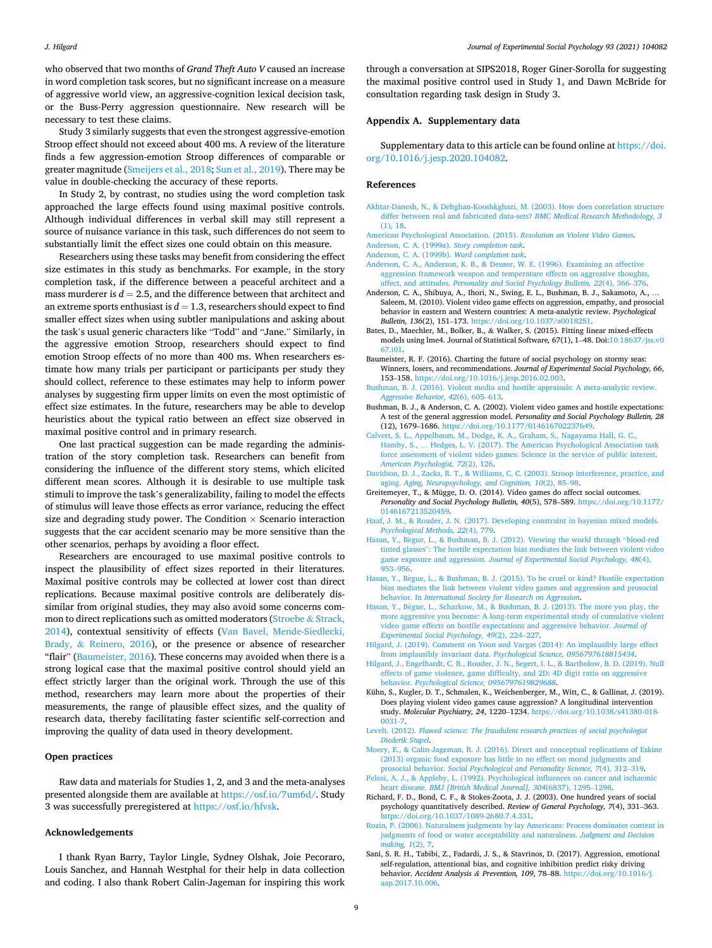<span id="page-8-0"></span>who observed that two months of *Grand Theft Auto V* caused an increase in word completion task scores, but no significant increase on a measure of aggressive world view, an aggressive-cognition lexical decision task, or the Buss-Perry aggression questionnaire. New research will be necessary to test these claims.

Study 3 similarly suggests that even the strongest aggressive-emotion Stroop effect should not exceed about 400 ms. A review of the literature finds a few aggression-emotion Stroop differences of comparable or greater magnitude ([Smeijers et al., 2018; Sun et al., 2019\)](#page-9-0). There may be value in double-checking the accuracy of these reports.

In Study 2, by contrast, no studies using the word completion task approached the large effects found using maximal positive controls. Although individual differences in verbal skill may still represent a source of nuisance variance in this task, such differences do not seem to substantially limit the effect sizes one could obtain on this measure.

Researchers using these tasks may benefit from considering the effect size estimates in this study as benchmarks. For example, in the story completion task, if the difference between a peaceful architect and a mass murderer is  $d = 2.5$ , and the difference between that architect and an extreme sports enthusiast is  $d = 1.3$ , researchers should expect to find smaller effect sizes when using subtler manipulations and asking about the task's usual generic characters like "Todd" and "Jane." Similarly, in the aggressive emotion Stroop, researchers should expect to find emotion Stroop effects of no more than 400 ms. When researchers estimate how many trials per participant or participants per study they should collect, reference to these estimates may help to inform power analyses by suggesting firm upper limits on even the most optimistic of effect size estimates. In the future, researchers may be able to develop heuristics about the typical ratio between an effect size observed in maximal positive control and in primary research.

One last practical suggestion can be made regarding the administration of the story completion task. Researchers can benefit from considering the influence of the different story stems, which elicited different mean scores. Although it is desirable to use multiple task stimuli to improve the task's generalizability, failing to model the effects of stimulus will leave those effects as error variance, reducing the effect size and degrading study power. The Condition  $\times$  Scenario interaction suggests that the car accident scenario may be more sensitive than the other scenarios, perhaps by avoiding a floor effect.

Researchers are encouraged to use maximal positive controls to inspect the plausibility of effect sizes reported in their literatures. Maximal positive controls may be collected at lower cost than direct replications. Because maximal positive controls are deliberately dissimilar from original studies, they may also avoid some concerns common to direct replications such as omitted moderators [\(Stroebe](#page-9-0) & Strack, [2014\)](#page-9-0), contextual sensitivity of effects [\(Van Bavel, Mende-Siedlecki,](#page-9-0)  Brady, & [Reinero, 2016\)](#page-9-0), or the presence or absence of researcher "flair" (Baumeister, 2016). These concerns may avoided when there is a strong logical case that the maximal positive control should yield an effect strictly larger than the original work. Through the use of this method, researchers may learn more about the properties of their measurements, the range of plausible effect sizes, and the quality of research data, thereby facilitating faster scientific self-correction and improving the quality of data used in theory development.

#### **Open practices**

Raw data and materials for Studies 1, 2, and 3 and the meta-analyses presented alongside them are available at<https://osf.io/7um6d/>. Study 3 was successfully preregistered at [https://osf.io/hfvsk.](https://osf.io/hfvsk)

#### **Acknowledgements**

I thank Ryan Barry, Taylor Lingle, Sydney Olshak, Joie Pecoraro, Louis Sanchez, and Hannah Westphal for their help in data collection and coding. I also thank Robert Calin-Jageman for inspiring this work through a conversation at SIPS2018, Roger Giner-Sorolla for suggesting the maximal positive control used in Study 1, and Dawn McBride for consultation regarding task design in Study 3.

# **Appendix A. Supplementary data**

Supplementary data to this article can be found online at [https://doi.](https://doi.org/10.1016/j.jesp.2020.104082)  [org/10.1016/j.jesp.2020.104082.](https://doi.org/10.1016/j.jesp.2020.104082)

#### **References**

- [Akhtar-Danesh, N., & Dehghan-Kooshkghazi, M. \(2003\). How does correlation structure](http://refhub.elsevier.com/S0022-1031(20)30422-4/rf0005)  [differ between real and fabricated data-sets?](http://refhub.elsevier.com/S0022-1031(20)30422-4/rf0005) *BMC Medical Research Methodology, 3*  [\(1\), 18](http://refhub.elsevier.com/S0022-1031(20)30422-4/rf0005).
- [American Psychological Association. \(2015\).](http://refhub.elsevier.com/S0022-1031(20)30422-4/rf0010) *Resolution on Violent Video Games*.
- [Anderson, C. A. \(1999a\).](http://refhub.elsevier.com/S0022-1031(20)30422-4/rf0015) *Story completion task*. [Anderson, C. A. \(1999b\).](http://refhub.elsevier.com/S0022-1031(20)30422-4/rf0020) *Word completion task*.
- [Anderson, C. A., Anderson, K. B., & Deuser, W. E. \(1996\). Examining an affective](http://refhub.elsevier.com/S0022-1031(20)30422-4/rf0025)  [aggression framework weapon and temperature effects on aggressive thoughts,](http://refhub.elsevier.com/S0022-1031(20)30422-4/rf0025)  affect, and attitudes. *[Personality and Social Psychology Bulletin, 22](http://refhub.elsevier.com/S0022-1031(20)30422-4/rf0025)*(4), 366–376.
- Anderson, C. A., Shibuya, A., Ihori, N., Swing, E. L., Bushman, B. J., Sakamoto, A., … Saleem, M. (2010). Violent video game effects on aggression, empathy, and prosocial behavior in eastern and Western countries: A meta-analytic review. *Psychological Bulletin, 136*(2), 151–173. [https://doi.org/10.1037/a0018251.](https://doi.org/10.1037/a0018251)
- Bates, D., Maechler, M., Bolker, B., & Walker, S. (2015). Fitting linear mixed-effects models using lme4. Journal of Statistical Software*,* 67(1), 1–48. Doi:[10.18637/jss.v0](https://doi.org/10.18637/jss.v067.i01)  [67.i01.](https://doi.org/10.18637/jss.v067.i01)
- Baumeister, R. F. (2016). Charting the future of social psychology on stormy seas: Winners, losers, and recommendations. *Journal of Experimental Social Psychology, 66*, 153–158. <https://doi.org/10.1016/j.jesp.2016.02.003>.
- [Bushman, B. J. \(2016\). Violent media and hostile appraisals: A meta-analytic review.](http://refhub.elsevier.com/S0022-1031(20)30422-4/rf0040)  *[Aggressive Behavior, 42](http://refhub.elsevier.com/S0022-1031(20)30422-4/rf0040)*(6), 605–613.
- Bushman, B. J., & Anderson, C. A. (2002). Violent video games and hostile expectations: A test of the general aggression model. *Personality and Social Psychology Bulletin, 28*  (12), 1679–1686. [https://doi.org/10.1177/014616702237649.](https://doi.org/10.1177/014616702237649)
- [Calvert, S. L., Appelbaum, M., Dodge, K. A., Graham, S., Nagayama Hall, G. C.,](http://refhub.elsevier.com/S0022-1031(20)30422-4/rf0050) Hamby, S., … [Hedges, L. V. \(2017\). The American Psychological Association task](http://refhub.elsevier.com/S0022-1031(20)30422-4/rf0050) [force assessment of violent video games: Science in the service of public interest.](http://refhub.elsevier.com/S0022-1031(20)30422-4/rf0050) *[American Psychologist, 72](http://refhub.elsevier.com/S0022-1031(20)30422-4/rf0050)*(2), 126.
- [Davidson, D. J., Zacks, R. T., & Williams, C. C. \(2003\). Stroop interference, practice, and](http://refhub.elsevier.com/S0022-1031(20)30422-4/rf0055)  aging. *[Aging, Neuropsychology, and Cognition, 10](http://refhub.elsevier.com/S0022-1031(20)30422-4/rf0055)*(2), 85–98.
- Greitemeyer, T., & Mügge, D. O. (2014). Video games do affect social outcomes. *Personality and Social Psychology Bulletin, 40*(5), 578–589. [https://doi.org/10.1177/](https://doi.org/10.1177/0146167213520459)  [0146167213520459.](https://doi.org/10.1177/0146167213520459)
- [Haaf, J. M., & Rouder, J. N. \(2017\). Developing constraint in bayesian mixed models.](http://refhub.elsevier.com/S0022-1031(20)30422-4/rf0065)  *[Psychological Methods, 22](http://refhub.elsevier.com/S0022-1031(20)30422-4/rf0065)*(4), 779.
- Hasan, Y., Bègue, L., & Bushman, B. J. (2012). Viewing the world through "blood-red tinted glasses"[: The hostile expectation bias mediates the link between violent video](http://refhub.elsevier.com/S0022-1031(20)30422-4/rf0070)  game exposure and aggression. *[Journal of Experimental Social Psychology, 48](http://refhub.elsevier.com/S0022-1031(20)30422-4/rf0070)*(4), .<br>953–[956](http://refhub.elsevier.com/S0022-1031(20)30422-4/rf0070).
- Hasan, Y., Bègue, L., & Bushman, B. J. (2015). To be cruel or kind? Hostile expectation [bias mediates the link between violent video games and aggression and prosocial](http://refhub.elsevier.com/S0022-1031(20)30422-4/rf0075)  behavior. In *[International Society for Research on Aggression](http://refhub.elsevier.com/S0022-1031(20)30422-4/rf0075)*.
- Hasan, Y., Bègue, L., Scharkow, M., & Bushman, B. J. (2013). The more you play, the [more aggressive you become: A long-term experimental study of cumulative violent](http://refhub.elsevier.com/S0022-1031(20)30422-4/rf0080)  [video game effects on hostile expectations and aggressive behavior.](http://refhub.elsevier.com/S0022-1031(20)30422-4/rf0080) *Journal of [Experimental Social Psychology, 49](http://refhub.elsevier.com/S0022-1031(20)30422-4/rf0080)*(2), 224–227.
- [Hilgard, J. \(2019\). Comment on Yoon and Vargas \(2014\): An implausibly large effect](http://refhub.elsevier.com/S0022-1031(20)30422-4/rf0085)  from implausibly invariant data. *[Psychological Science, 0956797618815434](http://refhub.elsevier.com/S0022-1031(20)30422-4/rf0085)*.
- [Hilgard, J., Engelhardt, C. R., Rouder, J. N., Segert, I. L., & Bartholow, B. D. \(2019\). Null](http://refhub.elsevier.com/S0022-1031(20)30422-4/rf0090)  [effects of game violence, game difficulty, and 2D: 4D digit ratio on aggressive](http://refhub.elsevier.com/S0022-1031(20)30422-4/rf0090) behavior. *[Psychological Science, 0956797619829688](http://refhub.elsevier.com/S0022-1031(20)30422-4/rf0090)*.
- Kühn, S., Kugler, D. T., Schmalen, K., Weichenberger, M., Witt, C., & Gallinat, J. (2019). Does playing violent video games cause aggression? A longitudinal intervention study. *Molecular Psychiatry, 24*, 1220–1234. [https://doi.org/10.1038/s41380-018-](https://doi.org/10.1038/s41380-018-0031-7) [0031-7.](https://doi.org/10.1038/s41380-018-0031-7)
- Levelt. (2012). *[Flawed science: The fraudulent research practices of social psychologist](http://refhub.elsevier.com/S0022-1031(20)30422-4/rf0100)  [Diederik Stapel](http://refhub.elsevier.com/S0022-1031(20)30422-4/rf0100)*.
- [Moery, E., & Calin-Jageman, R. J. \(2016\). Direct and conceptual replications of Eskine](http://refhub.elsevier.com/S0022-1031(20)30422-4/rf0105) [\(2013\) organic food exposure has little to no effect on moral judgments and](http://refhub.elsevier.com/S0022-1031(20)30422-4/rf0105) prosocial behavior. *[Social Psychological and Personality Science, 7](http://refhub.elsevier.com/S0022-1031(20)30422-4/rf0105)*(4), 312–319.
- [Pelosi, A. J., & Appleby, L. \(1992\). Psychological influences on cancer and ischaemic](http://refhub.elsevier.com/S0022-1031(20)30422-4/rf0110)  heart disease. *[BMJ \[British Medical Journal\], 304](http://refhub.elsevier.com/S0022-1031(20)30422-4/rf0110)*(6837), 1295–1298.
- Richard, F. D., Bond, C. F., & Stokes-Zoota, J. J. (2003). One hundred years of social psychology quantitatively described. *Review of General Psychology, 7*(4), 331–363. <https://doi.org/10.1037/1089-2680.7.4.331>.
- [Rozin, P. \(2006\). Naturalness judgments by lay Americans: Process dominates content in](http://refhub.elsevier.com/S0022-1031(20)30422-4/rf0120)  [judgments of food or water acceptability and naturalness.](http://refhub.elsevier.com/S0022-1031(20)30422-4/rf0120) *Judgment and Decision [making, 1](http://refhub.elsevier.com/S0022-1031(20)30422-4/rf0120)*(2), 7.
- Sani, S. R. H., Tabibi, Z., Fadardi, J. S., & Stavrinos, D. (2017). Aggression, emotional self-regulation, attentional bias, and cognitive inhibition predict risky driving behavior. *Accident Analysis & Prevention, 109*, 78–88. [https://doi.org/10.1016/j.](https://doi.org/10.1016/j.aap.2017.10.006) [aap.2017.10.006](https://doi.org/10.1016/j.aap.2017.10.006).